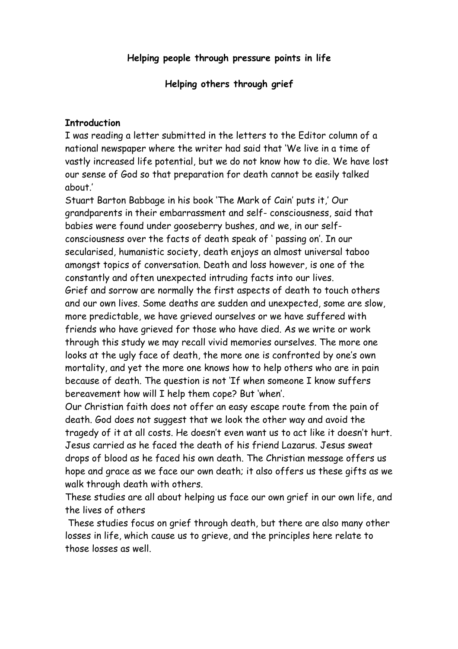**Helping others through grief**

#### **Introduction**

I was reading a letter submitted in the letters to the Editor column of a national newspaper where the writer had said that 'We live in a time of vastly increased life potential, but we do not know how to die. We have lost our sense of God so that preparation for death cannot be easily talked about.'

Stuart Barton Babbage in his book 'The Mark of Cain' puts it,' Our grandparents in their embarrassment and self- consciousness, said that babies were found under gooseberry bushes, and we, in our selfconsciousness over the facts of death speak of ' passing on'. In our secularised, humanistic society, death enjoys an almost universal taboo amongst topics of conversation. Death and loss however, is one of the constantly and often unexpected intruding facts into our lives. Grief and sorrow are normally the first aspects of death to touch others and our own lives. Some deaths are sudden and unexpected, some are slow, more predictable, we have grieved ourselves or we have suffered with friends who have grieved for those who have died. As we write or work through this study we may recall vivid memories ourselves. The more one looks at the ugly face of death, the more one is confronted by one's own mortality, and yet the more one knows how to help others who are in pain because of death. The question is not 'If when someone I know suffers bereavement how will I help them cope? But 'when'.

Our Christian faith does not offer an easy escape route from the pain of death. God does not suggest that we look the other way and avoid the tragedy of it at all costs. He doesn't even want us to act like it doesn't hurt. Jesus carried as he faced the death of his friend Lazarus. Jesus sweat drops of blood as he faced his own death. The Christian message offers us hope and grace as we face our own death; it also offers us these gifts as we walk through death with others.

These studies are all about helping us face our own grief in our own life, and the lives of others

 These studies focus on grief through death, but there are also many other losses in life, which cause us to grieve, and the principles here relate to those losses as well.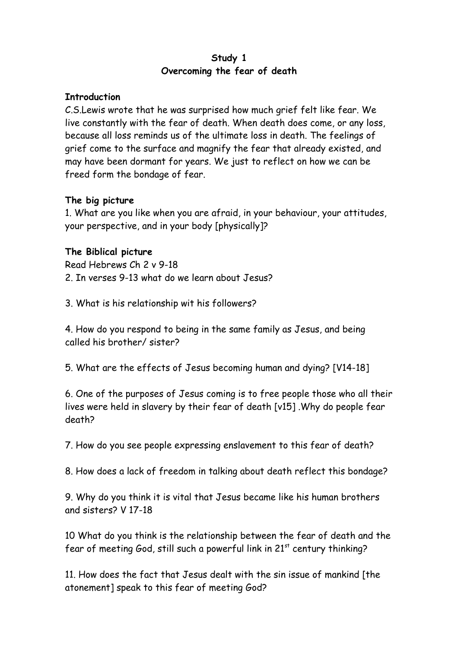# **Study 1 Overcoming the fear of death**

#### **Introduction**

C.S.Lewis wrote that he was surprised how much grief felt like fear. We live constantly with the fear of death. When death does come, or any loss, because all loss reminds us of the ultimate loss in death. The feelings of grief come to the surface and magnify the fear that already existed, and may have been dormant for years. We just to reflect on how we can be freed form the bondage of fear.

# **The big picture**

1. What are you like when you are afraid, in your behaviour, your attitudes, your perspective, and in your body [physically]?

# **The Biblical picture**

Read Hebrews Ch 2 v 9-18 2. In verses 9-13 what do we learn about Jesus?

3. What is his relationship wit his followers?

4. How do you respond to being in the same family as Jesus, and being called his brother/ sister?

5. What are the effects of Jesus becoming human and dying? [V14-18]

6. One of the purposes of Jesus coming is to free people those who all their lives were held in slavery by their fear of death [v15] .Why do people fear death?

7. How do you see people expressing enslavement to this fear of death?

8. How does a lack of freedom in talking about death reflect this bondage?

9. Why do you think it is vital that Jesus became like his human brothers and sisters? V 17-18

10 What do you think is the relationship between the fear of death and the fear of meeting God, still such a powerful link in 21<sup>st</sup> century thinking?

11. How does the fact that Jesus dealt with the sin issue of mankind [the atonement] speak to this fear of meeting God?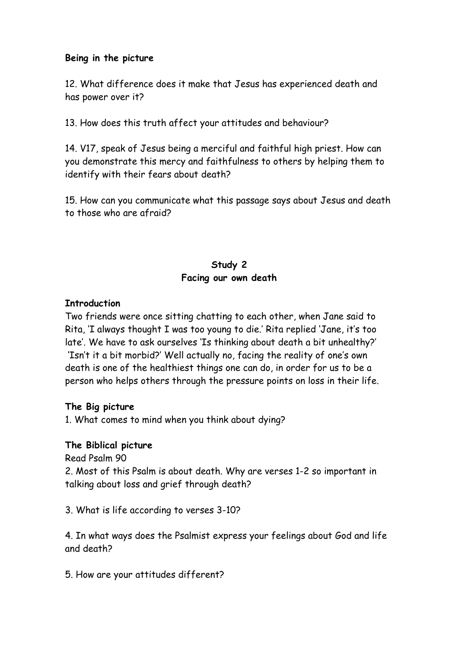#### **Being in the picture**

12. What difference does it make that Jesus has experienced death and has power over it?

13. How does this truth affect your attitudes and behaviour?

14. V17, speak of Jesus being a merciful and faithful high priest. How can you demonstrate this mercy and faithfulness to others by helping them to identify with their fears about death?

15. How can you communicate what this passage says about Jesus and death to those who are afraid?

# **Study 2 Facing our own death**

#### **Introduction**

Two friends were once sitting chatting to each other, when Jane said to Rita, 'I always thought I was too young to die.' Rita replied 'Jane, it's too late'. We have to ask ourselves 'Is thinking about death a bit unhealthy?' 'Isn't it a bit morbid?' Well actually no, facing the reality of one's own death is one of the healthiest things one can do, in order for us to be a person who helps others through the pressure points on loss in their life.

#### **The Big picture**

1. What comes to mind when you think about dying?

#### **The Biblical picture**

Read Psalm 90

2. Most of this Psalm is about death. Why are verses 1-2 so important in talking about loss and grief through death?

3. What is life according to verses 3-10?

4. In what ways does the Psalmist express your feelings about God and life and death?

5. How are your attitudes different?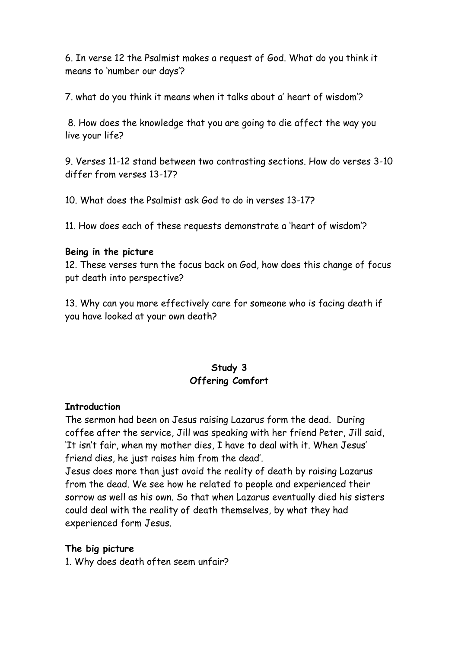6. In verse 12 the Psalmist makes a request of God. What do you think it means to 'number our days'?

7. what do you think it means when it talks about a' heart of wisdom'?

 8. How does the knowledge that you are going to die affect the way you live your life?

9. Verses 11-12 stand between two contrasting sections. How do verses 3-10 differ from verses 13-17?

10. What does the Psalmist ask God to do in verses 13-17?

11. How does each of these requests demonstrate a 'heart of wisdom'?

#### **Being in the picture**

12. These verses turn the focus back on God, how does this change of focus put death into perspective?

13. Why can you more effectively care for someone who is facing death if you have looked at your own death?

# **Study 3 Offering Comfort**

### **Introduction**

The sermon had been on Jesus raising Lazarus form the dead. During coffee after the service, Jill was speaking with her friend Peter, Jill said, 'It isn't fair, when my mother dies, I have to deal with it. When Jesus' friend dies, he just raises him from the dead'.

Jesus does more than just avoid the reality of death by raising Lazarus from the dead. We see how he related to people and experienced their sorrow as well as his own. So that when Lazarus eventually died his sisters could deal with the reality of death themselves, by what they had experienced form Jesus.

### **The big picture**

1. Why does death often seem unfair?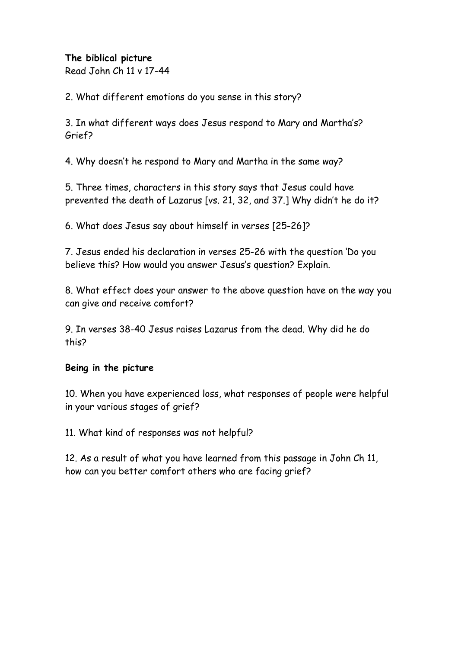## **The biblical picture**

Read John Ch 11 v 17-44

2. What different emotions do you sense in this story?

3. In what different ways does Jesus respond to Mary and Martha's? Grief?

4. Why doesn't he respond to Mary and Martha in the same way?

5. Three times, characters in this story says that Jesus could have prevented the death of Lazarus [vs. 21, 32, and 37.] Why didn't he do it?

6. What does Jesus say about himself in verses [25-26]?

7. Jesus ended his declaration in verses 25-26 with the question 'Do you believe this? How would you answer Jesus's question? Explain.

8. What effect does your answer to the above question have on the way you can give and receive comfort?

9. In verses 38-40 Jesus raises Lazarus from the dead. Why did he do this?

### **Being in the picture**

10. When you have experienced loss, what responses of people were helpful in your various stages of grief?

11. What kind of responses was not helpful?

12. As a result of what you have learned from this passage in John Ch 11, how can you better comfort others who are facing grief?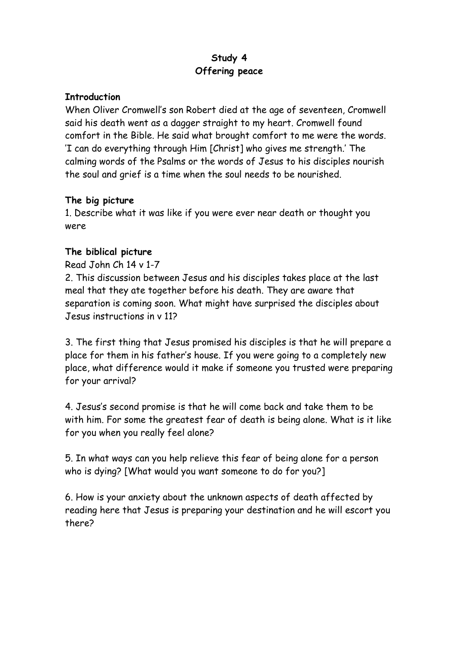# **Study 4 Offering peace**

### **Introduction**

When Oliver Cromwell's son Robert died at the age of seventeen, Cromwell said his death went as a dagger straight to my heart. Cromwell found comfort in the Bible. He said what brought comfort to me were the words. 'I can do everything through Him [Christ] who gives me strength.' The calming words of the Psalms or the words of Jesus to his disciples nourish the soul and grief is a time when the soul needs to be nourished.

### **The big picture**

1. Describe what it was like if you were ever near death or thought you were

# **The biblical picture**

### Read John Ch 14 v 1-7

2. This discussion between Jesus and his disciples takes place at the last meal that they ate together before his death. They are aware that separation is coming soon. What might have surprised the disciples about Jesus instructions in v 11?

3. The first thing that Jesus promised his disciples is that he will prepare a place for them in his father's house. If you were going to a completely new place, what difference would it make if someone you trusted were preparing for your arrival?

4. Jesus's second promise is that he will come back and take them to be with him. For some the greatest fear of death is being alone. What is it like for you when you really feel alone?

5. In what ways can you help relieve this fear of being alone for a person who is dying? [What would you want someone to do for you?]

6. How is your anxiety about the unknown aspects of death affected by reading here that Jesus is preparing your destination and he will escort you there?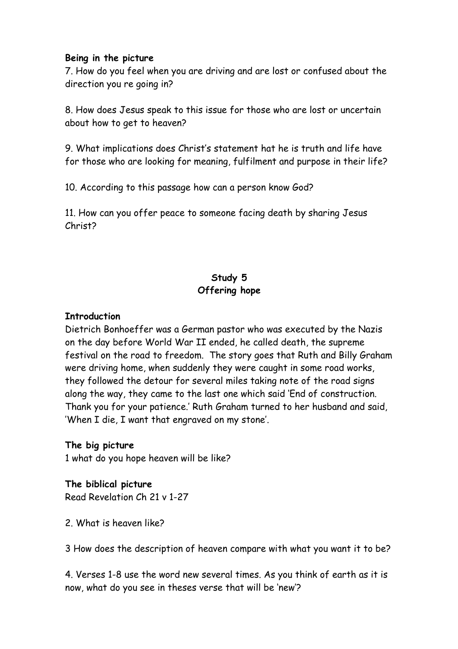#### **Being in the picture**

7. How do you feel when you are driving and are lost or confused about the direction you re going in?

8. How does Jesus speak to this issue for those who are lost or uncertain about how to get to heaven?

9. What implications does Christ's statement hat he is truth and life have for those who are looking for meaning, fulfilment and purpose in their life?

10. According to this passage how can a person know God?

11. How can you offer peace to someone facing death by sharing Jesus Christ?

# **Study 5 Offering hope**

### **Introduction**

Dietrich Bonhoeffer was a German pastor who was executed by the Nazis on the day before World War II ended, he called death, the supreme festival on the road to freedom. The story goes that Ruth and Billy Graham were driving home, when suddenly they were caught in some road works, they followed the detour for several miles taking note of the road signs along the way, they came to the last one which said 'End of construction. Thank you for your patience.' Ruth Graham turned to her husband and said, 'When I die, I want that engraved on my stone'.

### **The big picture**

1 what do you hope heaven will be like?

**The biblical picture** Read Revelation Ch 21 v 1-27

2. What is heaven like?

3 How does the description of heaven compare with what you want it to be?

4. Verses 1-8 use the word new several times. As you think of earth as it is now, what do you see in theses verse that will be 'new'?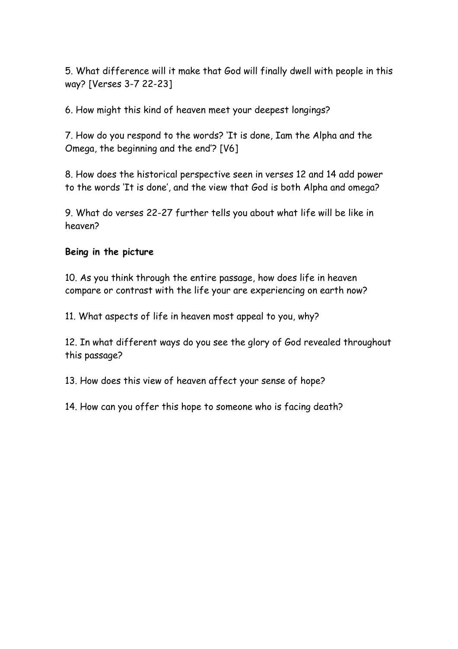5. What difference will it make that God will finally dwell with people in this way? [Verses 3-7 22-23]

6. How might this kind of heaven meet your deepest longings?

7. How do you respond to the words? 'It is done, Iam the Alpha and the Omega, the beginning and the end'? [V6]

8. How does the historical perspective seen in verses 12 and 14 add power to the words 'It is done', and the view that God is both Alpha and omega?

9. What do verses 22-27 further tells you about what life will be like in heaven?

### **Being in the picture**

10. As you think through the entire passage, how does life in heaven compare or contrast with the life your are experiencing on earth now?

11. What aspects of life in heaven most appeal to you, why?

12. In what different ways do you see the glory of God revealed throughout this passage?

13. How does this view of heaven affect your sense of hope?

14. How can you offer this hope to someone who is facing death?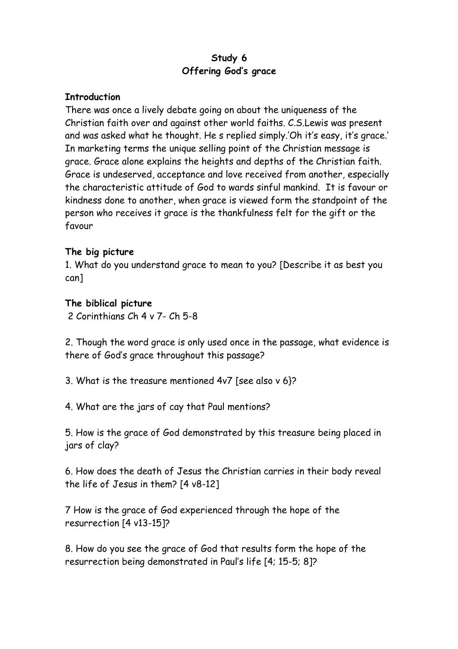# **Study 6 Offering God's grace**

#### **Introduction**

There was once a lively debate going on about the uniqueness of the Christian faith over and against other world faiths. C.S.Lewis was present and was asked what he thought. He s replied simply.'Oh it's easy, it's grace.' In marketing terms the unique selling point of the Christian message is grace. Grace alone explains the heights and depths of the Christian faith. Grace is undeserved, acceptance and love received from another, especially the characteristic attitude of God to wards sinful mankind. It is favour or kindness done to another, when grace is viewed form the standpoint of the person who receives it grace is the thankfulness felt for the gift or the favour

#### **The big picture**

1. What do you understand grace to mean to you? [Describe it as best you can]

#### **The biblical picture**

2 Corinthians Ch 4 v 7- Ch 5-8

2. Though the word grace is only used once in the passage, what evidence is there of God's grace throughout this passage?

3. What is the treasure mentioned 4v7 [see also v 6}?

4. What are the jars of cay that Paul mentions?

5. How is the grace of God demonstrated by this treasure being placed in jars of clay?

6. How does the death of Jesus the Christian carries in their body reveal the life of Jesus in them? [4 v8-12]

7 How is the grace of God experienced through the hope of the resurrection [4 v13-15]?

8. How do you see the grace of God that results form the hope of the resurrection being demonstrated in Paul's life [4; 15-5; 8]?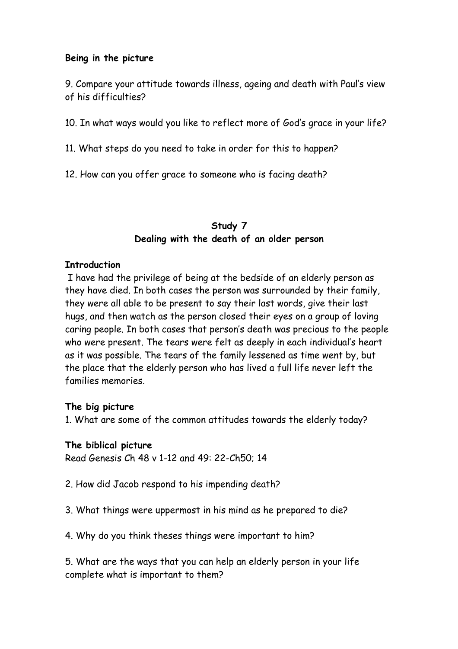#### **Being in the picture**

9. Compare your attitude towards illness, ageing and death with Paul's view of his difficulties?

10. In what ways would you like to reflect more of God's grace in your life?

11. What steps do you need to take in order for this to happen?

12. How can you offer grace to someone who is facing death?

## **Study 7 Dealing with the death of an older person**

#### **Introduction**

 I have had the privilege of being at the bedside of an elderly person as they have died. In both cases the person was surrounded by their family, they were all able to be present to say their last words, give their last hugs, and then watch as the person closed their eyes on a group of loving caring people. In both cases that person's death was precious to the people who were present. The tears were felt as deeply in each individual's heart as it was possible. The tears of the family lessened as time went by, but the place that the elderly person who has lived a full life never left the families memories.

#### **The big picture**

1. What are some of the common attitudes towards the elderly today?

#### **The biblical picture**

Read Genesis Ch 48 v 1-12 and 49: 22-Ch50; 14

- 2. How did Jacob respond to his impending death?
- 3. What things were uppermost in his mind as he prepared to die?
- 4. Why do you think theses things were important to him?

5. What are the ways that you can help an elderly person in your life complete what is important to them?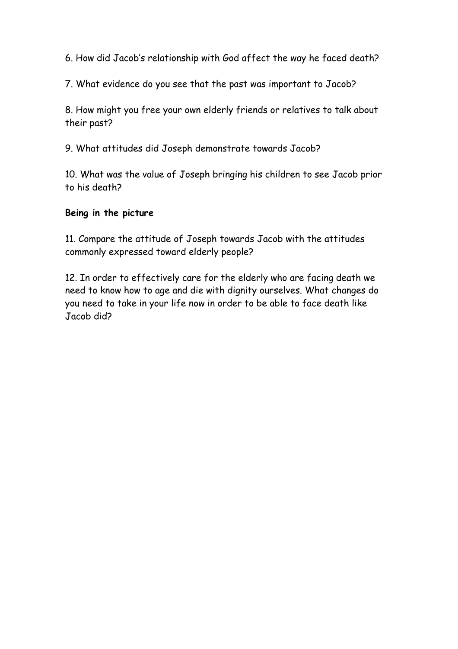6. How did Jacob's relationship with God affect the way he faced death?

7. What evidence do you see that the past was important to Jacob?

8. How might you free your own elderly friends or relatives to talk about their past?

9. What attitudes did Joseph demonstrate towards Jacob?

10. What was the value of Joseph bringing his children to see Jacob prior to his death?

# **Being in the picture**

11. Compare the attitude of Joseph towards Jacob with the attitudes commonly expressed toward elderly people?

12. In order to effectively care for the elderly who are facing death we need to know how to age and die with dignity ourselves. What changes do you need to take in your life now in order to be able to face death like Jacob did?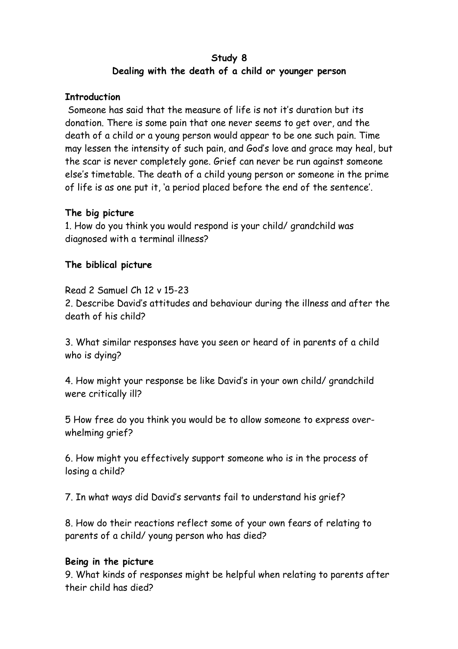# **Study 8 Dealing with the death of a child or younger person**

#### **Introduction**

 Someone has said that the measure of life is not it's duration but its donation. There is some pain that one never seems to get over, and the death of a child or a young person would appear to be one such pain. Time may lessen the intensity of such pain, and God's love and grace may heal, but the scar is never completely gone. Grief can never be run against someone else's timetable. The death of a child young person or someone in the prime of life is as one put it, 'a period placed before the end of the sentence'.

### **The big picture**

1. How do you think you would respond is your child/ grandchild was diagnosed with a terminal illness?

#### **The biblical picture**

Read 2 Samuel Ch 12 v 15-23

2. Describe David's attitudes and behaviour during the illness and after the death of his child?

3. What similar responses have you seen or heard of in parents of a child who is dying?

4. How might your response be like David's in your own child/ grandchild were critically ill?

5 How free do you think you would be to allow someone to express overwhelming grief?

6. How might you effectively support someone who is in the process of losing a child?

7. In what ways did David's servants fail to understand his grief?

8. How do their reactions reflect some of your own fears of relating to parents of a child/ young person who has died?

#### **Being in the picture**

9. What kinds of responses might be helpful when relating to parents after their child has died?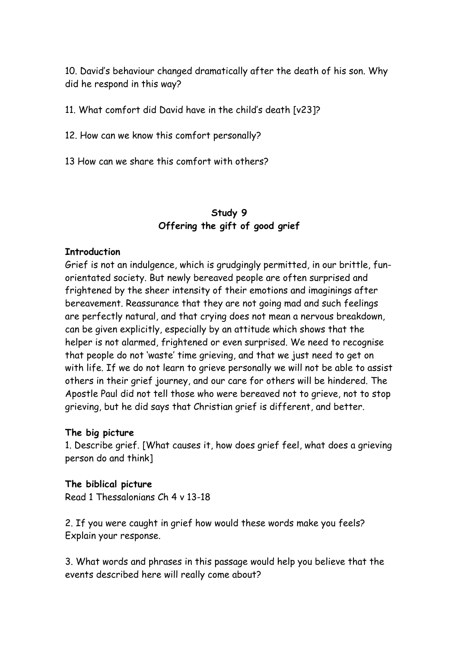10. David's behaviour changed dramatically after the death of his son. Why did he respond in this way?

11. What comfort did David have in the child's death [v23]?

12. How can we know this comfort personally?

13 How can we share this comfort with others?

# **Study 9 Offering the gift of good grief**

#### **Introduction**

Grief is not an indulgence, which is grudgingly permitted, in our brittle, funorientated society. But newly bereaved people are often surprised and frightened by the sheer intensity of their emotions and imaginings after bereavement. Reassurance that they are not going mad and such feelings are perfectly natural, and that crying does not mean a nervous breakdown, can be given explicitly, especially by an attitude which shows that the helper is not alarmed, frightened or even surprised. We need to recognise that people do not 'waste' time grieving, and that we just need to get on with life. If we do not learn to grieve personally we will not be able to assist others in their grief journey, and our care for others will be hindered. The Apostle Paul did not tell those who were bereaved not to grieve, not to stop grieving, but he did says that Christian grief is different, and better.

### **The big picture**

1. Describe grief. [What causes it, how does grief feel, what does a grieving person do and think]

### **The biblical picture**

Read 1 Thessalonians Ch 4 v 13-18

2. If you were caught in grief how would these words make you feels? Explain your response.

3. What words and phrases in this passage would help you believe that the events described here will really come about?